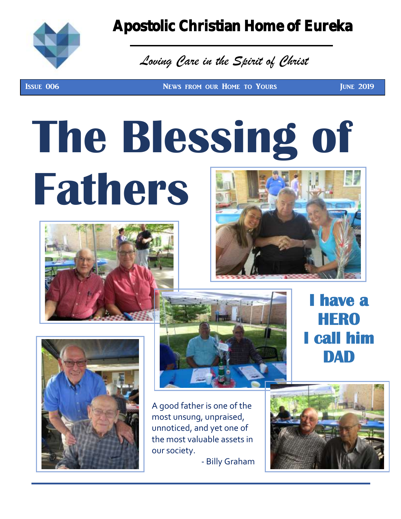

### Apostolic Christian Home of Eureka

## *Loving Care in the Spirit of Christ*

Issue 006 News from our Home to Yours June 2019

# **Fathers The Blessing of**









A good father is one of the most unsung, unpraised, unnoticed, and yet one of the most valuable assets in our society.

- Billy Graham



**have a** 

**HERO** 

**I call him** 

**DAD**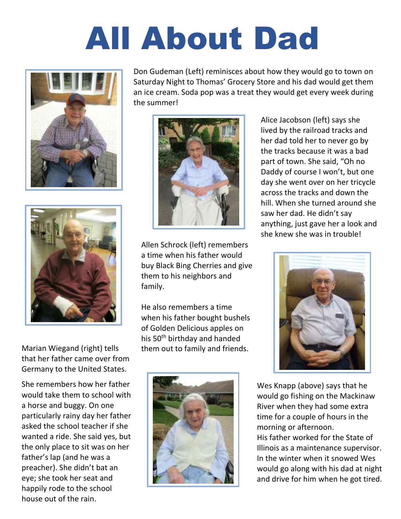## All About Dad



Don Gudeman (Left) reminisces about how they would go to town on Saturday Night to Thomas' Grocery Store and his dad would get them an ice cream. Soda pop was a treat they would get every week during the summer!





that her father came over from Germany to the United States.

She remembers how her father would take them to school with a horse and buggy. On one particularly rainy day her father asked the school teacher if she wanted a ride. She said yes, but the only place to sit was on her father's lap (and he was a preacher). She didn't bat an eye; she took her seat and happily rode to the school house out of the rain.

Allen Schrock (left) remembers a time when his father would buy Black Bing Cherries and give them to his neighbors and family.

He also remembers a time when his father bought bushels of Golden Delicious apples on his 50<sup>th</sup> birthday and handed Marian Wiegand (right) tells them out to family and friends.



Alice Jacobson (left) says she lived by the railroad tracks and her dad told her to never go by the tracks because it was a bad part of town. She said, "Oh no Daddy of course I won't, but one day she went over on her tricycle across the tracks and down the hill. When she turned around she saw her dad. He didn't say anything, just gave her a look and she knew she was in trouble!



Wes Knapp (above) says that he would go fishing on the Mackinaw River when they had some extra time for a couple of hours in the morning or afternoon. His father worked for the State of Illinois as a maintenance supervisor. In the winter when it snowed Wes would go along with his dad at night

and drive for him when he got tired.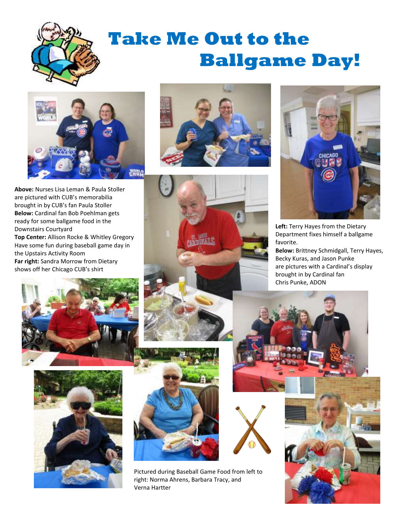

## **Take Me Out to the Ballgame Day!**



**Above:** Nurses Lisa Leman & Paula Stoller are pictured with CUB's memorabilia brought in by CUB's fan Paula Stoller **Below:** Cardinal fan Bob Poehlman gets ready for some ballgame food in the Downstairs Courtyard **Top Center:** Allison Rocke & Whitley Gregory Have some fun during baseball game day in the Upstairs Activity Room **Far right:** Sandra Morrow from Dietary shows off her Chicago CUB's shirt









Pictured during Baseball Game Food from left to right: Norma Ahrens, Barbara Tracy, and Verna Hartter



**Left:** Terry Hayes from the Dietary Department fixes himself a ballgame favorite.

**Below:** Brittney Schmidgall, Terry Hayes, Becky Kuras, and Jason Punke are pictures with a Cardinal's display brought in by Cardinal fan Chris Punke, ADON



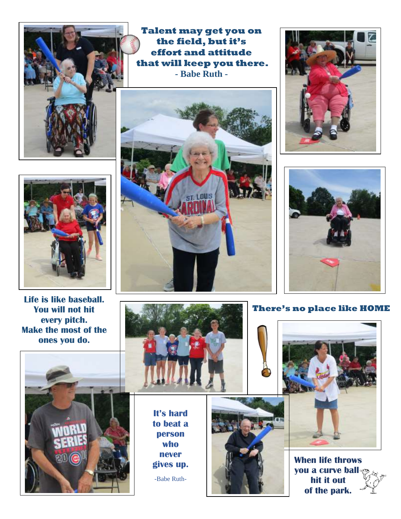

**Talent may get you on the field, but it's effort and attitude that will keep you there. - Babe Ruth -**







#### **There's no place like HOME**



**When life throws you a curve ball, hit it out of the park.**



**Life is like baseball. You will not hit every pitch. Make the most of the ones you do.**





**It's hard to beat a person who never gives up.**

-Babe Ruth-